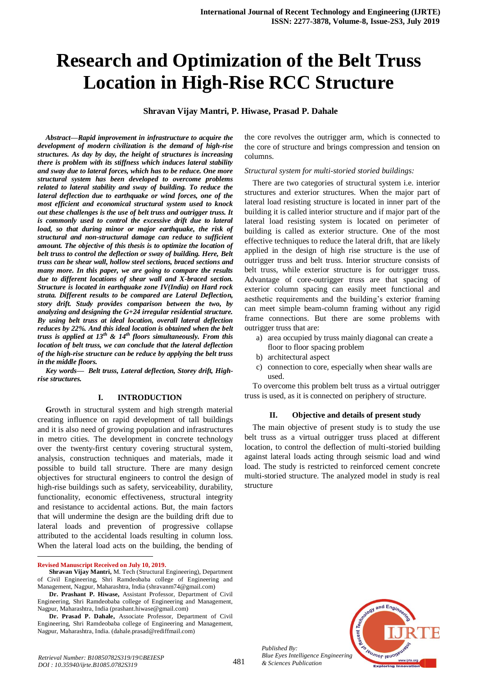# **Research and Optimization of the Belt Truss Location in High-Rise RCC Structure**

# **Shravan Vijay Mantri, P. Hiwase, Prasad P. Dahale**

*Abstract—Rapid improvement in infrastructure to acquire the development of modern civilization is the demand of high-rise structures. As day by day, the height of structures is increasing there is problem with its stiffness which induces lateral stability and sway due to lateral forces, which has to be reduce. One more structural system has been developed to overcome problems related to lateral stability and sway of building. To reduce the lateral deflection due to earthquake or wind forces, one of the most efficient and economical structural system used to knock out these challenges is the use of belt truss and outrigger truss. It is commonly used to control the excessive drift due to lateral load, so that during minor or major earthquake, the risk of structural and non-structural damage can reduce to sufficient amount. The objective of this thesis is to optimize the location of belt truss to control the deflection or sway of building. Here, Belt truss can be shear wall, hollow steel sections, braced sections and many more. In this paper, we are going to compare the results due to different locations of shear wall and X-braced section. Structure is located in earthquake zone IV(India) on Hard rock strata. Different results to be compared are Lateral Deflection, story drift. Study provides comparison between the two, by analyzing and designing the G+24 irregular residential structure. By using belt truss at ideal location, overall lateral deflection reduces by 22%. And this ideal location is obtained when the belt truss is applied at 13th & 14th floors simultaneously. From this location of belt truss, we can conclude that the lateral deflection of the high-rise structure can be reduce by applying the belt truss in the middle floors.* 

*Key words— Belt truss, Lateral deflection, Storey drift, Highrise structures.* 

#### **I. INTRODUCTION**

**G**rowth in structural system and high strength material creating influence on rapid development of tall buildings and it is also need of growing population and infrastructures in metro cities. The development in concrete technology over the twenty-first century covering structural system, analysis, construction techniques and materials, made it possible to build tall structure. There are many design objectives for structural engineers to control the design of high-rise buildings such as safety, serviceability, durability, functionality, economic effectiveness, structural integrity and resistance to accidental actions. But, the main factors that will undermine the design are the building drift due to lateral loads and prevention of progressive collapse attributed to the accidental loads resulting in column loss. When the lateral load acts on the building, the bending of

 $\ddot{\phantom{a}}$ 

the core revolves the outrigger arm, which is connected to the core of structure and brings compression and tension on columns.

*Structural system for multi-storied storied buildings:*

There are two categories of structural system i.e. interior structures and exterior structures. When the major part of lateral load resisting structure is located in inner part of the building it is called interior structure and if major part of the lateral load resisting system is located on perimeter of building is called as exterior structure. One of the most effective techniques to reduce the lateral drift, that are likely applied in the design of high rise structure is the use of outrigger truss and belt truss. Interior structure consists of belt truss, while exterior structure is for outrigger truss. Advantage of core-outrigger truss are that spacing of exterior column spacing can easily meet functional and aesthetic requirements and the building's exterior framing can meet simple beam-column framing without any rigid frame connections. But there are some problems with outrigger truss that are:

- a) area occupied by truss mainly diagonal can create a floor to floor spacing problem
- b) architectural aspect
- c) connection to core, especially when shear walls are used.

To overcome this problem belt truss as a virtual outrigger truss is used, as it is connected on periphery of structure.

#### **II. Objective and details of present study**

The main objective of present study is to study the use belt truss as a virtual outrigger truss placed at different location, to control the deflection of multi-storied building against lateral loads acting through seismic load and wind load. The study is restricted to reinforced cement concrete multi-storied structure. The analyzed model in study is real structure



481

**Revised Manuscript Received on July 10, 2019.**

**Shravan Vijay Mantri,** M. Tech (Structural Engineering), Department of Civil Engineering, Shri Ramdeobaba college of Engineering and Management, Nagpur, Maharashtra, India (shravanm74@gmail.com)

**Dr. Prashant P. Hiwase,** Assistant Professor, Department of Civil Engineering, Shri Ramdeobaba college of Engineering and Management, Nagpur, Maharashtra, India (prashant.hiwase@gmail.com)

**Dr. Prasad P. Dahale,** Associate Professor, Department of Civil Engineering, Shri Ramdeobaba college of Engineering and Management, Nagpur, Maharashtra, India. (dahale.prasad@rediffmail.com)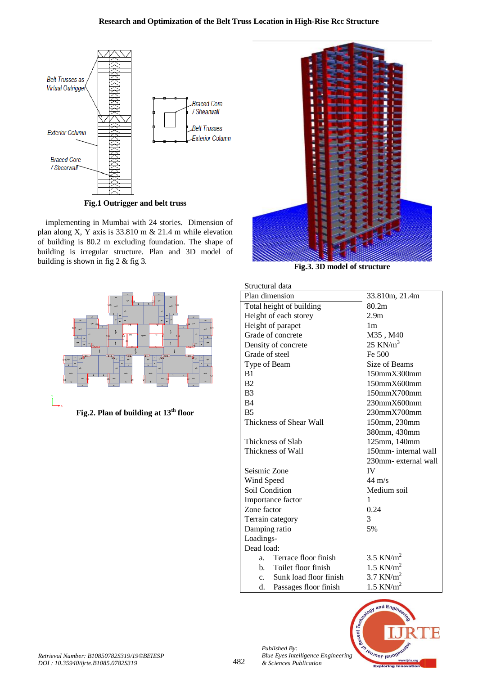

**Fig.1 Outrigger and belt truss**

implementing in Mumbai with 24 stories. Dimension of plan along X, Y axis is 33.810 m & 21.4 m while elevation of building is 80.2 m excluding foundation. The shape of building is irregular structure. Plan and 3D model of building is shown in fig 2 & fig 3.



**Fig.2. Plan of building at 13th floor**



**Fig.3. 3D model of structure**

| su ucturar uata          |                                  |                         |  |  |
|--------------------------|----------------------------------|-------------------------|--|--|
|                          | Plan dimension<br>33.810m, 21.4m |                         |  |  |
| Total height of building |                                  | 80.2m                   |  |  |
| Height of each storey    |                                  | 2.9 <sub>m</sub>        |  |  |
| Height of parapet        |                                  | 1 <sub>m</sub>          |  |  |
|                          | Grade of concrete                | M35, M40                |  |  |
|                          | Density of concrete              | 25 KN/ $m3$             |  |  |
| Grade of steel           |                                  | Fe 500                  |  |  |
| Type of Beam             |                                  | Size of Beams           |  |  |
| B1                       |                                  | $150$ mm $X300$ mm      |  |  |
| B <sub>2</sub>           |                                  | $150$ mm $X600$ mm      |  |  |
| B <sub>3</sub>           |                                  | 150mmX700mm             |  |  |
| B <sub>4</sub>           |                                  | 230mmX600mm             |  |  |
| <b>B5</b>                |                                  | 230mmX700mm             |  |  |
| Thickness of Shear Wall  |                                  | 150mm, 230mm            |  |  |
|                          |                                  | 380mm, 430mm            |  |  |
|                          | Thickness of Slab                | 125mm, 140mm            |  |  |
| Thickness of Wall        |                                  | 150mm- internal wall    |  |  |
|                          |                                  | 230mm- external wall    |  |  |
| Seismic Zone             |                                  | IV                      |  |  |
| Wind Speed               |                                  | $44 \text{ m/s}$        |  |  |
| Soil Condition           |                                  | Medium soil             |  |  |
| Importance factor        |                                  | 1                       |  |  |
| Zone factor              |                                  | 0.24                    |  |  |
| Terrain category         |                                  | 3                       |  |  |
| Damping ratio            |                                  | 5%                      |  |  |
| Loadings-                |                                  |                         |  |  |
| Dead load:               |                                  |                         |  |  |
| a.                       | Terrace floor finish             | $3.5$ KN/m <sup>2</sup> |  |  |
| b.                       | Toilet floor finish              | $1.5$ KN/m <sup>2</sup> |  |  |
| $\mathbf{c}$ .           | Sunk load floor finish           | $3.7$ KN/m <sup>2</sup> |  |  |
| d.                       | Passages floor finish            | $1.5$ KN/m <sup>2</sup> |  |  |



*Published By:*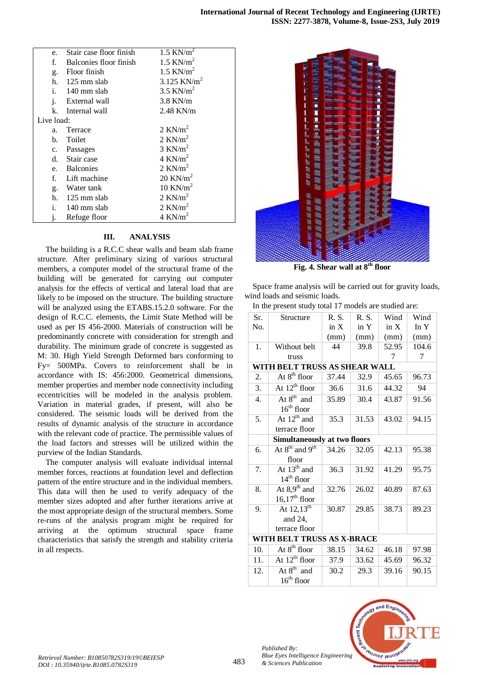| e.          | Stair case floor finish  | $1.5$ KN/m <sup>2</sup> |  |
|-------------|--------------------------|-------------------------|--|
|             |                          |                         |  |
| f.          | Balconies floor finish   | $1.5$ KN/m <sup>2</sup> |  |
|             | g. Floor finish          | $1.5$ KN/m <sup>2</sup> |  |
|             | h. $125 \text{ mm slab}$ | 3.125 KN/m <sup>2</sup> |  |
|             | i. 140 mm slab           | $3.5$ KN/m <sup>2</sup> |  |
| j.          | External wall            | $3.8$ KN/m              |  |
| k.          | Internal wall            | 2.48 KN/m               |  |
| Live load:  |                          |                         |  |
| a.          | Terrace                  | $2$ KN/m <sup>2</sup>   |  |
|             | b. Toilet                | $2$ KN/m <sup>2</sup>   |  |
|             | c. Passages              | $3$ KN/m <sup>2</sup>   |  |
|             | d. Stair case            | $4$ KN/m <sup>2</sup>   |  |
|             | e. Balconies             | $2$ KN/m <sup>2</sup>   |  |
| $f_{\cdot}$ | Lift machine             | 20 KN/ $m2$             |  |
|             | g. Water tank            | 10 KN/ $m2$             |  |
|             | h. $125 \text{ mm slab}$ | $2$ KN/m <sup>2</sup>   |  |
|             | i. 140 mm slab           | $2$ KN/m <sup>2</sup>   |  |
|             | Refuge floor             | $4$ KN/m <sup>2</sup>   |  |

## **III. ANALYSIS**

The building is a R.C.C shear walls and beam slab frame structure. After preliminary sizing of various structural members, a computer model of the structural frame of the building will be generated for carrying out computer analysis for the effects of vertical and lateral load that are likely to be imposed on the structure. The building structure will be analyzed using the ETABS.15.2.0 software. For the design of R.C.C. elements, the Limit State Method will be used as per IS 456-2000. Materials of construction will be predominantly concrete with consideration for strength and durability. The minimum grade of concrete is suggested as M: 30. High Yield Strength Deformed bars conforming to Fy= 500MPa. Covers to reinforcement shall be in accordance with IS: 456:2000. Geometrical dimensions, member properties and member node connectivity including eccentricities will be modeled in the analysis problem. Variation in material grades, if present, will also be considered. The seismic loads will be derived from the results of dynamic analysis of the structure in accordance with the relevant code of practice. The permissible values of the load factors and stresses will be utilized within the purview of the Indian Standards.

The computer analysis will evaluate individual internal member forces, reactions at foundation level and deflection pattern of the entire structure and in the individual members. This data will then be used to verify adequacy of the member sizes adopted and after further iterations arrive at the most appropriate design of the structural members. Some re-runs of the analysis program might be required for arriving at the optimum structural space frame characteristics that satisfy the strength and stability criteria in all respects.



**Fig. 4. Shear wall at 8th floor**

Space frame analysis will be carried out for gravity loads, wind loads and seismic loads.

| In the present study total 17 models are studied are: |  |  |
|-------------------------------------------------------|--|--|
|-------------------------------------------------------|--|--|

| Sr.                        | Structure                              | R. S. | R. S. | Wind  | Wind   |
|----------------------------|----------------------------------------|-------|-------|-------|--------|
| No.                        |                                        | in X  | in Y  | in X  | In $Y$ |
|                            |                                        | (mm)  | (mm)  | (mm)  | (mm)   |
| 1.                         | Without belt                           | 44    | 39.8  | 52.95 | 104.6  |
|                            | truss                                  |       |       | 7     | 7      |
|                            | WITH BELT TRUSS AS SHEAR WALL          |       |       |       |        |
| 2.                         | At $8^{\text{th}}$ floor               | 37.44 | 32.9  | 45.65 | 96.73  |
| 3.                         | At $12^{\text{th}}$ floor              | 36.6  | 31.6  | 44.32 | 94     |
| 4.                         | At $8^{\text{th}}$ and                 | 35.89 | 30.4  | 43.87 | 91.56  |
|                            | $16th$ floor                           |       |       |       |        |
| 5.                         | At $12^{\text{th}}$ and                | 35.3  | 31.53 | 43.02 | 94.15  |
|                            | terrace floor                          |       |       |       |        |
|                            | <b>Simultaneously at two floors</b>    |       |       |       |        |
| 6.                         | At $8^{\text{th}}$ and $9^{\text{th}}$ | 34.26 | 32.05 | 42.13 | 95.38  |
|                            | floor                                  |       |       |       |        |
| 7.                         | At $13^{\text{th}}$ and                | 36.3  | 31.92 | 41.29 | 95.75  |
|                            | $14th$ floor                           |       |       |       |        |
| 8.                         | At $8.9th$ and                         | 32.76 | 26.02 | 40.89 | 87.63  |
|                            | $16,17th$ floor                        |       |       |       |        |
| 9.                         | At $12,13^{\text{th}}$                 | 30.87 | 29.85 | 38.73 | 89.23  |
|                            | and 24,                                |       |       |       |        |
|                            | terrace floor                          |       |       |       |        |
| WITH BELT TRUSS AS X-BRACE |                                        |       |       |       |        |
| 10.                        | At $8^{\text{th}}$ floor               | 38.15 | 34.62 | 46.18 | 97.98  |
| 11.                        | At $12^{\text{th}}$ floor              | 37.9  | 33.62 | 45.69 | 96.32  |
| 12.                        | At $8^{\text{th}}$ and                 | 30.2  | 29.3  | 39.16 | 90.15  |
|                            | $16th$ floor                           |       |       |       |        |



*Published By:*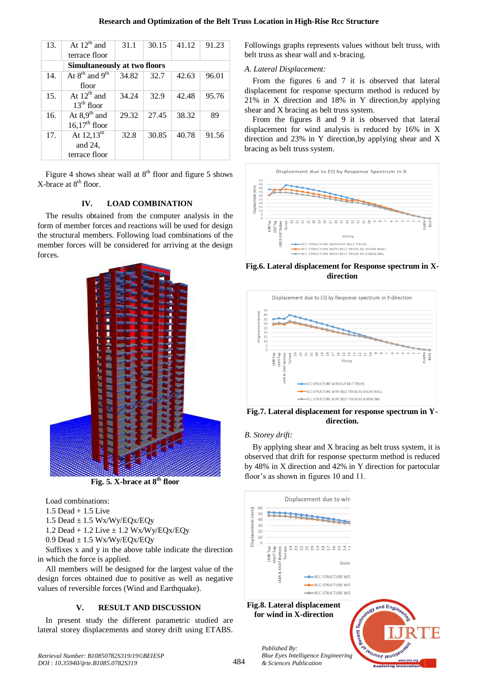#### **Research and Optimization of the Belt Truss Location in High-Rise Rcc Structure**

| 13. | At $12^{th}$ and                       | 31.1  | 30.15 | 41.12 | 91.23 |
|-----|----------------------------------------|-------|-------|-------|-------|
|     | terrace floor                          |       |       |       |       |
|     | <b>Simultaneously at two floors</b>    |       |       |       |       |
| 14. | At $8^{\text{th}}$ and $9^{\text{th}}$ | 34.82 | 32.7  | 42.63 | 96.01 |
|     | floor                                  |       |       |       |       |
| 15. | At $12^{th}$ and                       | 34.24 | 32.9  | 42.48 | 95.76 |
|     | $13th$ floor                           |       |       |       |       |
| 16. | At $8.9th$ and                         | 29.32 | 27.45 | 38.32 | 89    |
|     | $16.17th$ floor                        |       |       |       |       |
| 17. | At $12,13^{\text{th}}$                 | 32.8  | 30.85 | 40.78 | 91.56 |
|     | and 24,                                |       |       |       |       |
|     | terrace floor                          |       |       |       |       |

Figure 4 shows shear wall at  $8<sup>th</sup>$  floor and figure 5 shows X-brace at 8<sup>th</sup> floor.

#### **IV. LOAD COMBINATION**

The results obtained from the computer analysis in the form of member forces and reactions will be used for design the structural members. Following load combinations of the member forces will be considered for arriving at the design forces.



**Fig. 5. X-brace at 8th floor**

Load combinations:

1.5 Dead + 1.5 Live

1.5 Dead  $\pm$  1.5 Wx/Wy/EQx/EQy

1.2 Dead + 1.2 Live ± 1.2 Wx/Wy/EQx/EQy

 $0.9$  Dead  $\pm 1.5$  Wx/Wy/EQx/EQy

Suffixes x and y in the above table indicate the direction in which the force is applied.

All members will be designed for the largest value of the design forces obtained due to positive as well as negative values of reversible forces (Wind and Earthquake).

# **V. RESULT AND DISCUSSION**

In present study the different parametric studied are lateral storey displacements and storey drift using ETABS.

Followings graphs represents values without belt truss, with belt truss as shear wall and x-bracing.

## *A. Lateral Displacement:*

From the figures 6 and 7 it is observed that lateral displacement for response specturm method is reduced by 21% in X direction and 18% in Y direction,by applying shear and X bracing as belt truss system.

From the figures 8 and 9 it is observed that lateral displacement for wind analysis is reduced by 16% in X direction and 23% in Y direction,by applying shear and X bracing as belt truss system.



**Fig.6. Lateral displacement for Response spectrum in Xdirection**



**Fig.7. Lateral displacement for response spectrum in Ydirection.**

# *B. Storey drift:*

By applying shear and X bracing as belt truss system, it is observed that drift for response specturm method is reduced by 48% in X direction and 42% in Y direction for partocular floor's as shown in figures 10 and 11.



*Retrieval Number: B10850782S319/19©BEIESP DOI : 10.35940/ijrte.B1085.0782S319*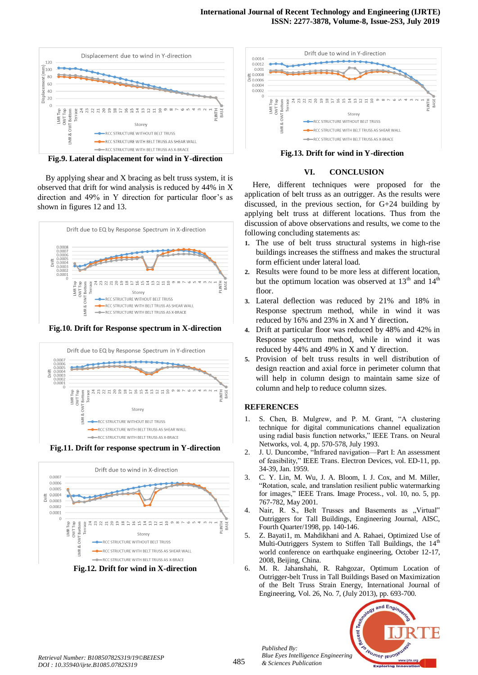

**Fig.9. Lateral displacement for wind in Y-direction**

By applying shear and X bracing as belt truss system, it is observed that drift for wind analysis is reduced by 44% in X direction and 49% in Y direction for particular floor's as shown in figures 12 and 13.



**Fig.10. Drift for Response spectrum in X-direction**



**Fig.11. Drift for response spectrum in Y-direction**



**Fig.12. Drift for wind in X-direction**



**Fig.13. Drift for wind in Y-direction**

#### **VI. CONCLUSION**

Here, different techniques were proposed for the application of belt truss as an outrigger. As the results were discussed, in the previous section, for G+24 building by applying belt truss at different locations. Thus from the discussion of above observations and results, we come to the following concluding statements as:

- **1.** The use of belt truss structural systems in high-rise buildings increases the stiffness and makes the structural form efficient under lateral load.
- **2.** Results were found to be more less at different location, but the optimum location was observed at  $13<sup>th</sup>$  and  $14<sup>th</sup>$ floor.
- **3.** Lateral deflection was reduced by 21% and 18% in Response spectrum method, while in wind it was reduced by 16% and 23% in X and Y direction**.**
- **4.** Drift at particular floor was reduced by 48% and 42% in Response spectrum method, while in wind it was reduced by 44% and 49% in X and Y direction.
- **5.** Provision of belt truss results in well distribution of design reaction and axial force in perimeter column that will help in column design to maintain same size of column and help to reduce column sizes.

#### **REFERENCES**

- 1. S. Chen, B. Mulgrew, and P. M. Grant, "A clustering technique for digital communications channel equalization using radial basis function networks," IEEE Trans. on Neural Networks, vol. 4, pp. 570-578, July 1993.
- 2. J. U. Duncombe, "Infrared navigation—Part I: An assessment of feasibility," IEEE Trans. Electron Devices, vol. ED-11, pp. 34-39, Jan. 1959.
- 3. C. Y. Lin, M. Wu, J. A. Bloom, I. J. Cox, and M. Miller, "Rotation, scale, and translation resilient public watermarking for images," IEEE Trans. Image Process., vol. 10, no. 5, pp. 767-782, May 2001.
- 4. Nair, R. S., Belt Trusses and Basements as "Virtual" Outriggers for Tall Buildings, Engineering Journal, AISC, Fourth Quarter/1998, pp. 140-146.
- 5. Z. Bayati1, m. Mahdikhani and A. Rahaei, Optimized Use of Multi-Outriggers System to Stiffen Tall Buildings, the 14<sup>th</sup> world conference on earthquake engineering, October 12-17, 2008, Beijing, China.
- 6. M. R. Jahanshahi, R. Rahgozar, Optimum Location of Outrigger-belt Truss in Tall Buildings Based on Maximization of the Belt Truss Strain Energy, International Journal of Engineering, Vol. 26, No. 7, (July 2013), pp. 693-700.



*Published By:*